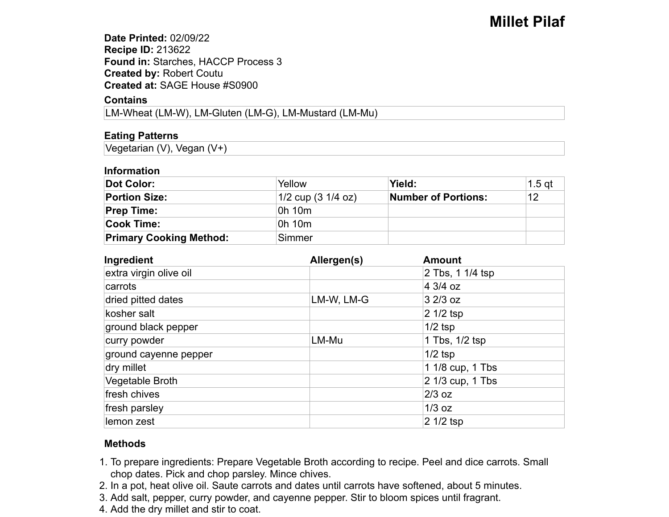**Date Printed:** 02/09/22**Recipe ID:** 213622 **Found in:** Starches, HACCP Process 3 **Created by:** Robert Coutu **Created at:** SAGE House #S0900

## **Contains**

LM-Wheat (LM-W), LM-Gluten (LM-G), LM-Mustard (LM-Mu)

# **Eating Patterns**

Vegetarian (V), Vegan (V+)

#### **Information**

| Dot Color:                     | Yellow                         | Yield:              | $1.5$ at |
|--------------------------------|--------------------------------|---------------------|----------|
| <b>Portion Size:</b>           | $1/2$ cup $(3 \frac{1}{4}$ oz) | Number of Portions: | 12       |
| <b>Prep Time:</b>              | 0h 10m                         |                     |          |
| <b>Cook Time:</b>              | 0h 10m                         |                     |          |
| <b>Primary Cooking Method:</b> | Simmer                         |                     |          |

| Ingredient             | Allergen(s) | <b>Amount</b>    |  |
|------------------------|-------------|------------------|--|
| extra virgin olive oil |             | 2 Tbs, 1 1/4 tsp |  |
| carrots                |             | 4 3/4 oz         |  |
| dried pitted dates     | LM-W, LM-G  | $32/3$ oz        |  |
| kosher salt            |             | 2 1/2 tsp        |  |
| ground black pepper    |             | $1/2$ tsp        |  |
| curry powder           | LM-Mu       | 1 Tbs, 1/2 tsp   |  |
| ground cayenne pepper  |             | $1/2$ tsp        |  |
| dry millet             |             | 1 1/8 cup, 1 Tbs |  |
| Vegetable Broth        |             | 2 1/3 cup, 1 Tbs |  |
| fresh chives           |             | $2/3$ oz         |  |
| fresh parsley          |             | $1/3$ oz         |  |
| llemon zest            |             | 2 1/2 tsp        |  |

## **Methods**

- 1. To prepare ingredients: Prepare Vegetable Broth according to recipe. Peel and dice carrots. Small chop dates. Pick and chop parsley. Mince chives.
- 2. In a pot, heat olive oil. Saute carrots and dates until carrots have softened, about 5 minutes.
- 3. Add salt, pepper, curry powder, and cayenne pepper. Stir to bloom spices until fragrant.
- 4. Add the dry millet and stir to coat.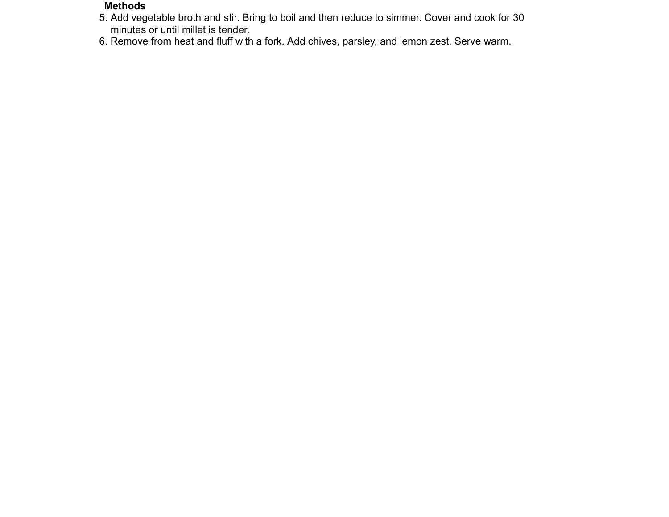## **Methods**

- 5. Add vegetable broth and stir. Bring to boil and then reduce to simmer. Cover and cook for 30 minutes or until millet is tender.
- 6. Remove from heat and fluff with a fork. Add chives, parsley, and lemon zest. Serve warm.